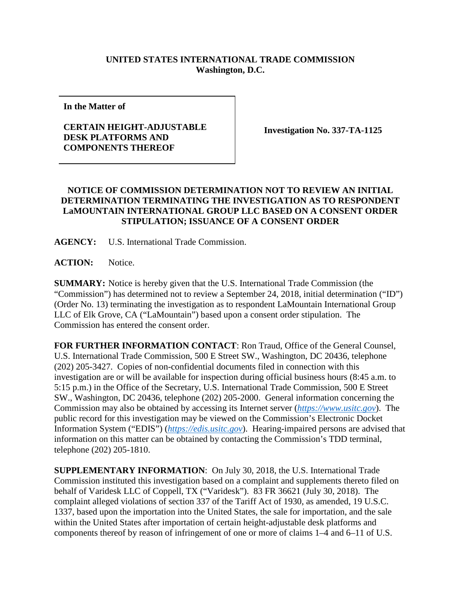## **UNITED STATES INTERNATIONAL TRADE COMMISSION Washington, D.C.**

**In the Matter of**

## **CERTAIN HEIGHT-ADJUSTABLE DESK PLATFORMS AND COMPONENTS THEREOF**

**Investigation No. 337-TA-1125**

## **NOTICE OF COMMISSION DETERMINATION NOT TO REVIEW AN INITIAL DETERMINATION TERMINATING THE INVESTIGATION AS TO RESPONDENT LaMOUNTAIN INTERNATIONAL GROUP LLC BASED ON A CONSENT ORDER STIPULATION; ISSUANCE OF A CONSENT ORDER**

**AGENCY:** U.S. International Trade Commission.

**ACTION:** Notice.

**SUMMARY:** Notice is hereby given that the U.S. International Trade Commission (the "Commission") has determined not to review a September 24, 2018, initial determination ("ID") (Order No. 13) terminating the investigation as to respondent LaMountain International Group LLC of Elk Grove, CA ("LaMountain") based upon a consent order stipulation. The Commission has entered the consent order.

**FOR FURTHER INFORMATION CONTACT**: Ron Traud, Office of the General Counsel, U.S. International Trade Commission, 500 E Street SW., Washington, DC 20436, telephone (202) 205-3427. Copies of non-confidential documents filed in connection with this investigation are or will be available for inspection during official business hours (8:45 a.m. to 5:15 p.m.) in the Office of the Secretary, U.S. International Trade Commission, 500 E Street SW., Washington, DC 20436, telephone (202) 205-2000. General information concerning the Commission may also be obtained by accessing its Internet server (*[https://www.usitc.gov](https://www.usitc.gov/)*). The public record for this investigation may be viewed on the Commission's Electronic Docket Information System ("EDIS") (*[https://edis.usitc.gov](https://edis.usitc.gov/)*). Hearing-impaired persons are advised that information on this matter can be obtained by contacting the Commission's TDD terminal, telephone (202) 205-1810.

**SUPPLEMENTARY INFORMATION**: On July 30, 2018, the U.S. International Trade Commission instituted this investigation based on a complaint and supplements thereto filed on behalf of Varidesk LLC of Coppell, TX ("Varidesk"). 83 FR 36621 (July 30, 2018). The complaint alleged violations of section 337 of the Tariff Act of 1930, as amended, 19 U.S.C. 1337, based upon the importation into the United States, the sale for importation, and the sale within the United States after importation of certain height-adjustable desk platforms and components thereof by reason of infringement of one or more of claims 1–4 and 6–11 of U.S.